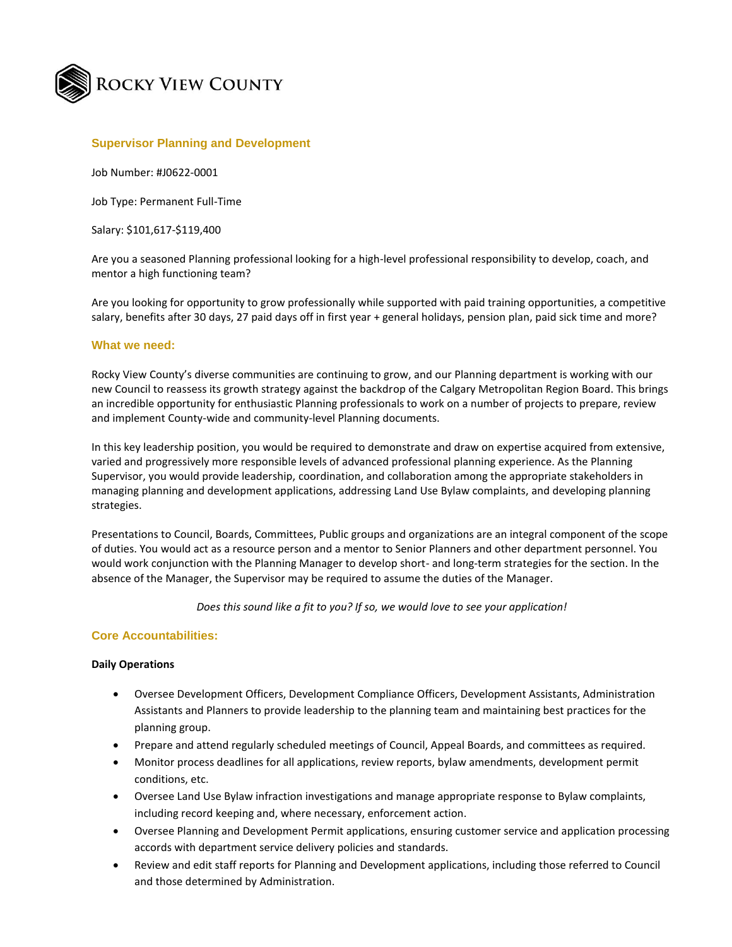

## **Supervisor Planning and Development**

Job Number: #J0622-0001

Job Type: Permanent Full-Time

Salary: \$101,617-\$119,400

Are you a seasoned Planning professional looking for a high-level professional responsibility to develop, coach, and mentor a high functioning team?

Are you looking for opportunity to grow professionally while supported with paid training opportunities, a competitive salary, benefits after 30 days, 27 paid days off in first year + general holidays, pension plan, paid sick time and more?

#### **What we need:**

Rocky View County's diverse communities are continuing to grow, and our Planning department is working with our new Council to reassess its growth strategy against the backdrop of the Calgary Metropolitan Region Board. This brings an incredible opportunity for enthusiastic Planning professionals to work on a number of projects to prepare, review and implement County-wide and community-level Planning documents.

In this key leadership position, you would be required to demonstrate and draw on expertise acquired from extensive, varied and progressively more responsible levels of advanced professional planning experience. As the Planning Supervisor, you would provide leadership, coordination, and collaboration among the appropriate stakeholders in managing planning and development applications, addressing Land Use Bylaw complaints, and developing planning strategies.

Presentations to Council, Boards, Committees, Public groups and organizations are an integral component of the scope of duties. You would act as a resource person and a mentor to Senior Planners and other department personnel. You would work conjunction with the Planning Manager to develop short- and long-term strategies for the section. In the absence of the Manager, the Supervisor may be required to assume the duties of the Manager.

*Does this sound like a fit to you? If so, we would love to see your application!*

## **Core Accountabilities:**

#### **Daily Operations**

- Oversee Development Officers, Development Compliance Officers, Development Assistants, Administration Assistants and Planners to provide leadership to the planning team and maintaining best practices for the planning group.
- Prepare and attend regularly scheduled meetings of Council, Appeal Boards, and committees as required.
- Monitor process deadlines for all applications, review reports, bylaw amendments, development permit conditions, etc.
- Oversee Land Use Bylaw infraction investigations and manage appropriate response to Bylaw complaints, including record keeping and, where necessary, enforcement action.
- Oversee Planning and Development Permit applications, ensuring customer service and application processing accords with department service delivery policies and standards.
- Review and edit staff reports for Planning and Development applications, including those referred to Council and those determined by Administration.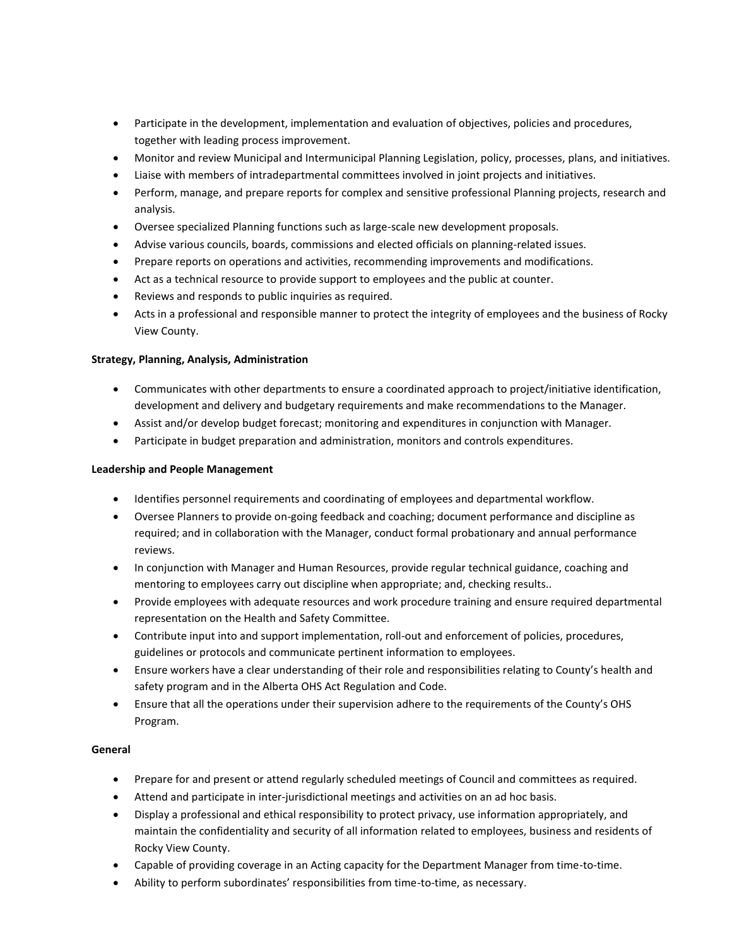- Participate in the development, implementation and evaluation of objectives, policies and procedures, together with leading process improvement.
- Monitor and review Municipal and Intermunicipal Planning Legislation, policy, processes, plans, and initiatives.
- Liaise with members of intradepartmental committees involved in joint projects and initiatives.
- Perform, manage, and prepare reports for complex and sensitive professional Planning projects, research and analysis.
- Oversee specialized Planning functions such as large-scale new development proposals.
- Advise various councils, boards, commissions and elected officials on planning-related issues.
- Prepare reports on operations and activities, recommending improvements and modifications.
- Act as a technical resource to provide support to employees and the public at counter.
- Reviews and responds to public inquiries as required.
- Acts in a professional and responsible manner to protect the integrity of employees and the business of Rocky View County.

## **Strategy, Planning, Analysis, Administration**

- Communicates with other departments to ensure a coordinated approach to project/initiative identification, development and delivery and budgetary requirements and make recommendations to the Manager.
- Assist and/or develop budget forecast; monitoring and expenditures in conjunction with Manager.
- Participate in budget preparation and administration, monitors and controls expenditures.

#### **Leadership and People Management**

- Identifies personnel requirements and coordinating of employees and departmental workflow.
- Oversee Planners to provide on-going feedback and coaching; document performance and discipline as required; and in collaboration with the Manager, conduct formal probationary and annual performance reviews.
- In conjunction with Manager and Human Resources, provide regular technical guidance, coaching and mentoring to employees carry out discipline when appropriate; and, checking results..
- Provide employees with adequate resources and work procedure training and ensure required departmental representation on the Health and Safety Committee.
- Contribute input into and support implementation, roll-out and enforcement of policies, procedures, guidelines or protocols and communicate pertinent information to employees.
- Ensure workers have a clear understanding of their role and responsibilities relating to County's health and safety program and in the Alberta OHS Act Regulation and Code.
- Ensure that all the operations under their supervision adhere to the requirements of the County's OHS Program.

## **General**

- Prepare for and present or attend regularly scheduled meetings of Council and committees as required.
- Attend and participate in inter-jurisdictional meetings and activities on an ad hoc basis.
- Display a professional and ethical responsibility to protect privacy, use information appropriately, and maintain the confidentiality and security of all information related to employees, business and residents of Rocky View County.
- Capable of providing coverage in an Acting capacity for the Department Manager from time-to-time.
- Ability to perform subordinates' responsibilities from time-to-time, as necessary.